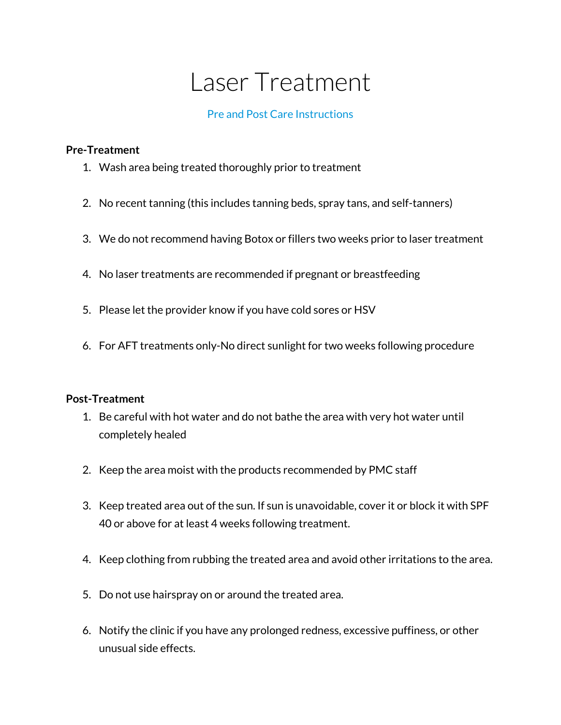## Laser Treatment

## Pre and Post Care Instructions

## **Pre-Treatment**

- 1. Wash area being treated thoroughly prior to treatment
- 2. No recent tanning (this includes tanning beds, spray tans, and self-tanners)
- 3. We do not recommend having Botox or fillers two weeks prior to laser treatment
- 4. No laser treatments are recommended if pregnant or breastfeeding
- 5. Please let the provider know if you have cold sores or HSV
- 6. For AFT treatments only-No direct sunlight for two weeks following procedure

## **Post-Treatment**

- 1. Be careful with hot water and do not bathe the area with very hot water until completely healed
- 2. Keep the area moist with the products recommended by PMC staff
- 3. Keep treated area out of the sun. If sun is unavoidable, cover it or block it with SPF 40 or above for at least 4 weeks following treatment.
- 4. Keep clothing from rubbing the treated area and avoid other irritations to the area.
- 5. Do not use hairspray on or around the treated area.
- 6. Notify the clinic if you have any prolonged redness, excessive puffiness, or other unusual side effects.